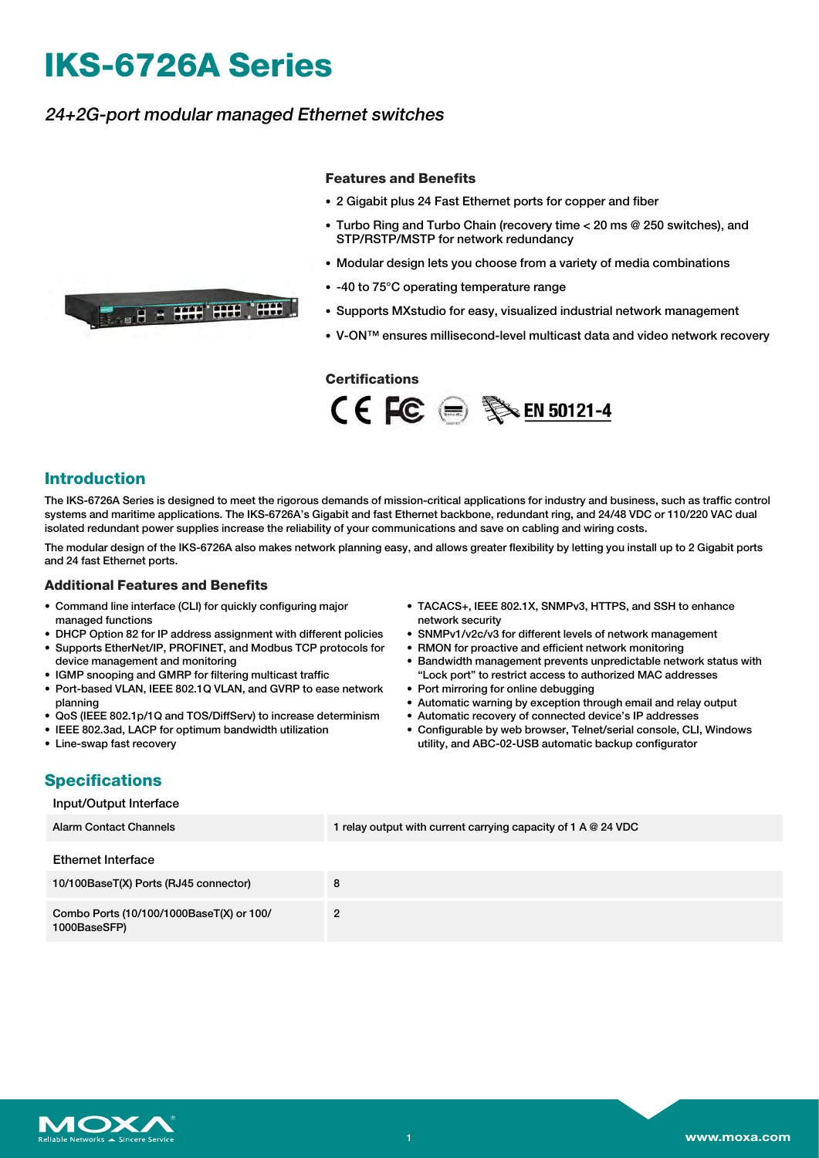# **IKS-6726A Series**

**THE REAL PROPERTY OF REAL PROPERTY** 

## 24+2G-port modular managed Ethernet switches

#### **Features and Benefits**

- 2 Gigabit plus 24 Fast Ethernet ports for copper and fiber
- Turbo Ring and Turbo Chain (recovery time < 20 ms @ 250 switches), and STP/RSTP/MSTP for network redundancy
- Modular design lets you choose from a variety of media combinations
- -40 to 75°C operating temperature range
- Supports MXstudio for easy, visualized industrial network management
- V-ON™ ensures millisecond-level multicast data and video network recovery

#### **Certifications**



### **Introduction**

The IKS-6726A Series is designed to meet the rigorous demands of mission-critical applications for industry and business, such as traffic control systems and maritime applications. The IKS-6726A's Gigabit and fast Ethernet backbone, redundant ring, and 24/48 VDC or 110/220 VAC dual isolated redundant power supplies increase the reliability of your communications and save on cabling and wiring costs.

The modular design of the IKS-6726A also makes network planning easy, and allows greater flexibility by letting you install up to 2 Gigabit ports and 24 fast Ethernet ports.

#### **Additional Features and Benefits**

- Command line interface (CLI) for quickly configuring major managed functions
- DHCP Option 82 for IP address assignment with different policies
- Supports EtherNet/IP, PROFINET, and Modbus TCP protocols for device management and monitoring
- IGMP snooping and GMRP for filtering multicast traffic
- Port-based VLAN, IEEE 802.1Q VLAN, and GVRP to ease network planning
- QoS (IEEE 802.1p/1Q and TOS/DiffServ) to increase determinism
- IEEE 802.3ad, LACP for optimum bandwidth utilization
- Line-swap fast recovery
- TACACS+, IEEE 802.1X, SNMPv3, HTTPS, and SSH to enhance network security
- SNMPv1/v2c/v3 for different levels of network management
- RMON for proactive and efficient network monitoring
- Bandwidth management prevents unpredictable network status with "Lock port" to restrict access to authorized MAC addresses
- Port mirroring for online debugging
- Automatic warning by exception through email and relay output
- Automatic recovery of connected device's IP addresses
- Configurable by web browser, Telnet/serial console, CLI, Windows utility, and ABC-02-USB automatic backup configurator

# **Specifications**

#### Input/Output Interface

| <b>Alarm Contact Channels</b>                            | 1 relay output with current carrying capacity of 1 A $@$ 24 VDC |
|----------------------------------------------------------|-----------------------------------------------------------------|
| Ethernet Interface                                       |                                                                 |
| 10/100BaseT(X) Ports (RJ45 connector)                    | 8                                                               |
| Combo Ports (10/100/1000BaseT(X) or 100/<br>1000BaseSFP) | 2                                                               |

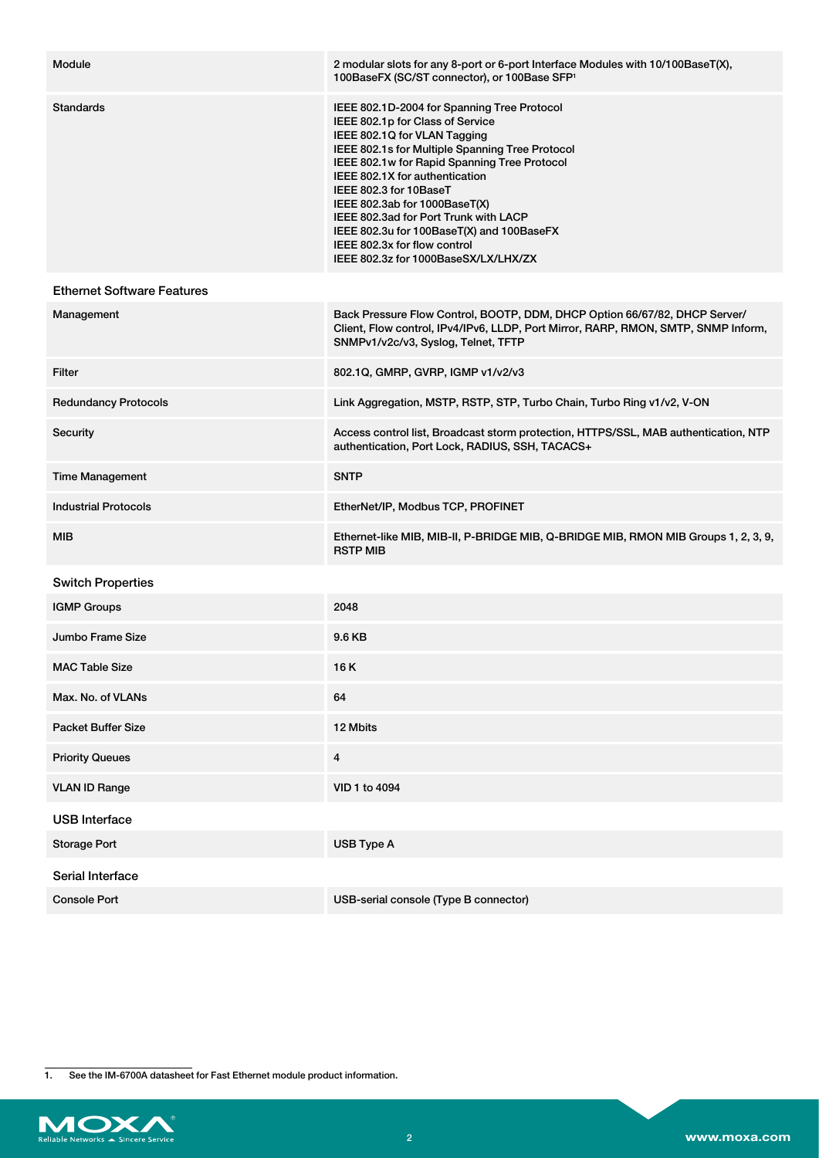| Module                            | 2 modular slots for any 8-port or 6-port Interface Modules with 10/100BaseT(X),<br>100BaseFX (SC/ST connector), or 100Base SFP <sup>1</sup>                                                                                                                                                                                                                                                                                                                                   |
|-----------------------------------|-------------------------------------------------------------------------------------------------------------------------------------------------------------------------------------------------------------------------------------------------------------------------------------------------------------------------------------------------------------------------------------------------------------------------------------------------------------------------------|
| Standards                         | IEEE 802.1D-2004 for Spanning Tree Protocol<br>IEEE 802.1p for Class of Service<br>IEEE 802.1Q for VLAN Tagging<br>IEEE 802.1s for Multiple Spanning Tree Protocol<br>IEEE 802.1w for Rapid Spanning Tree Protocol<br>IEEE 802.1X for authentication<br>IEEE 802.3 for 10BaseT<br>IEEE 802.3ab for 1000BaseT(X)<br>IEEE 802.3ad for Port Trunk with LACP<br>IEEE 802.3u for 100BaseT(X) and 100BaseFX<br>IEEE 802.3x for flow control<br>IEEE 802.3z for 1000BaseSX/LX/LHX/ZX |
| <b>Ethernet Software Features</b> |                                                                                                                                                                                                                                                                                                                                                                                                                                                                               |
| Management                        | Back Pressure Flow Control, BOOTP, DDM, DHCP Option 66/67/82, DHCP Server/<br>Client, Flow control, IPv4/IPv6, LLDP, Port Mirror, RARP, RMON, SMTP, SNMP Inform,<br>SNMPv1/v2c/v3, Syslog, Telnet, TFTP                                                                                                                                                                                                                                                                       |
| Filter                            | 802.1Q, GMRP, GVRP, IGMP v1/v2/v3                                                                                                                                                                                                                                                                                                                                                                                                                                             |
| <b>Redundancy Protocols</b>       | Link Aggregation, MSTP, RSTP, STP, Turbo Chain, Turbo Ring v1/v2, V-ON                                                                                                                                                                                                                                                                                                                                                                                                        |
| Security                          | Access control list, Broadcast storm protection, HTTPS/SSL, MAB authentication, NTP<br>authentication, Port Lock, RADIUS, SSH, TACACS+                                                                                                                                                                                                                                                                                                                                        |
| <b>Time Management</b>            | <b>SNTP</b>                                                                                                                                                                                                                                                                                                                                                                                                                                                                   |
| <b>Industrial Protocols</b>       | EtherNet/IP, Modbus TCP, PROFINET                                                                                                                                                                                                                                                                                                                                                                                                                                             |
| MIB                               | Ethernet-like MIB, MIB-II, P-BRIDGE MIB, Q-BRIDGE MIB, RMON MIB Groups 1, 2, 3, 9,<br><b>RSTP MIB</b>                                                                                                                                                                                                                                                                                                                                                                         |
| <b>Switch Properties</b>          |                                                                                                                                                                                                                                                                                                                                                                                                                                                                               |
| <b>IGMP Groups</b>                | 2048                                                                                                                                                                                                                                                                                                                                                                                                                                                                          |
| Jumbo Frame Size                  | 9.6 KB                                                                                                                                                                                                                                                                                                                                                                                                                                                                        |
| <b>MAC Table Size</b>             | 16 K                                                                                                                                                                                                                                                                                                                                                                                                                                                                          |
| Max. No. of VLANs                 | 64                                                                                                                                                                                                                                                                                                                                                                                                                                                                            |
| <b>Packet Buffer Size</b>         | 12 Mbits                                                                                                                                                                                                                                                                                                                                                                                                                                                                      |
| <b>Priority Queues</b>            | $\overline{\mathbf{4}}$                                                                                                                                                                                                                                                                                                                                                                                                                                                       |
| <b>VLAN ID Range</b>              | VID 1 to 4094                                                                                                                                                                                                                                                                                                                                                                                                                                                                 |
| <b>USB Interface</b>              |                                                                                                                                                                                                                                                                                                                                                                                                                                                                               |
| <b>Storage Port</b>               | USB Type A                                                                                                                                                                                                                                                                                                                                                                                                                                                                    |
| Serial Interface                  |                                                                                                                                                                                                                                                                                                                                                                                                                                                                               |
| <b>Console Port</b>               | USB-serial console (Type B connector)                                                                                                                                                                                                                                                                                                                                                                                                                                         |

1. See the IM-6700A datasheet for Fast Ethernet module product information.

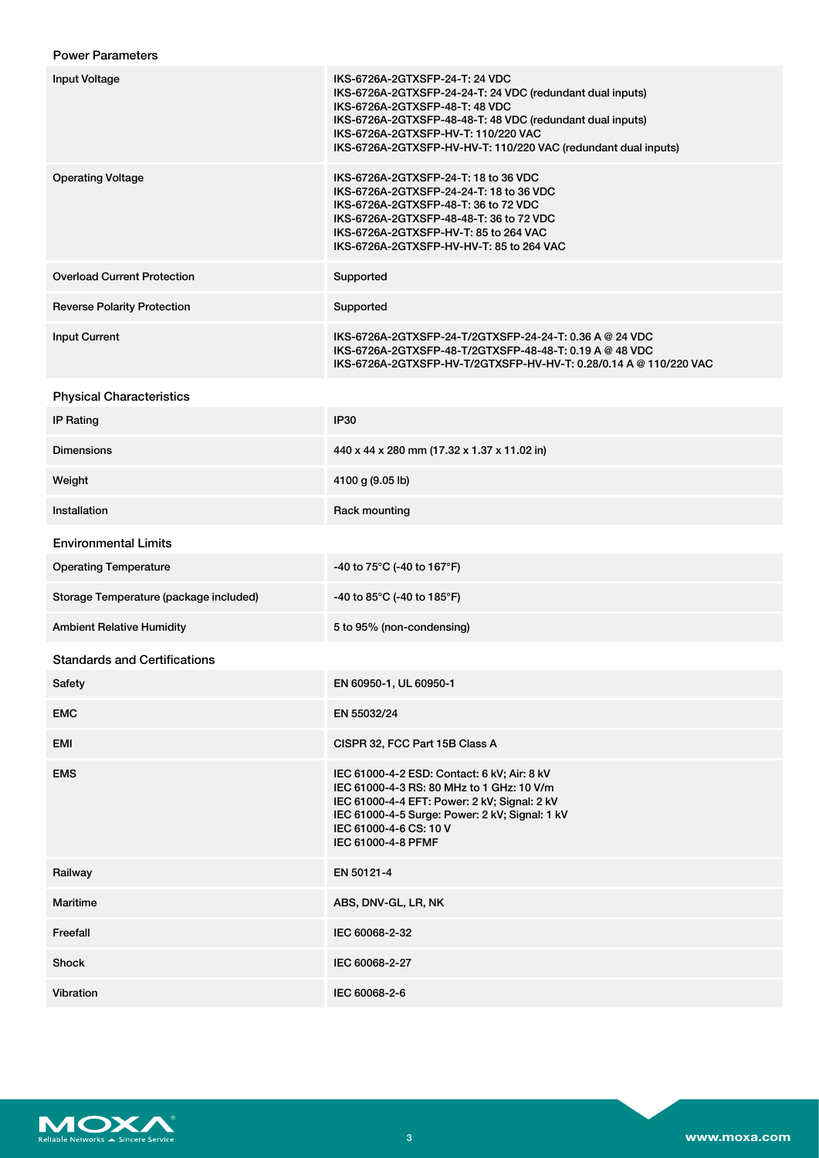## Power Parameters

| <b>Input Voltage</b>                   | IKS-6726A-2GTXSFP-24-T: 24 VDC<br>IKS-6726A-2GTXSFP-24-24-T: 24 VDC (redundant dual inputs)<br>IKS-6726A-2GTXSFP-48-T: 48 VDC<br>IKS-6726A-2GTXSFP-48-48-T: 48 VDC (redundant dual inputs)<br>IKS-6726A-2GTXSFP-HV-T: 110/220 VAC<br>IKS-6726A-2GTXSFP-HV-HV-T: 110/220 VAC (redundant dual inputs) |
|----------------------------------------|-----------------------------------------------------------------------------------------------------------------------------------------------------------------------------------------------------------------------------------------------------------------------------------------------------|
| <b>Operating Voltage</b>               | IKS-6726A-2GTXSFP-24-T: 18 to 36 VDC<br>IKS-6726A-2GTXSFP-24-24-T: 18 to 36 VDC<br>IKS-6726A-2GTXSFP-48-T: 36 to 72 VDC<br>IKS-6726A-2GTXSFP-48-48-T: 36 to 72 VDC<br>IKS-6726A-2GTXSFP-HV-T: 85 to 264 VAC<br>IKS-6726A-2GTXSFP-HV-HV-T: 85 to 264 VAC                                             |
| <b>Overload Current Protection</b>     | Supported                                                                                                                                                                                                                                                                                           |
| <b>Reverse Polarity Protection</b>     | Supported                                                                                                                                                                                                                                                                                           |
| <b>Input Current</b>                   | IKS-6726A-2GTXSFP-24-T/2GTXSFP-24-24-T: 0.36 A @ 24 VDC<br>IKS-6726A-2GTXSFP-48-T/2GTXSFP-48-48-T: 0.19 A @ 48 VDC<br>IKS-6726A-2GTXSFP-HV-T/2GTXSFP-HV-HV-T: 0.28/0.14 A @ 110/220 VAC                                                                                                             |
| <b>Physical Characteristics</b>        |                                                                                                                                                                                                                                                                                                     |
| <b>IP Rating</b>                       | IP30                                                                                                                                                                                                                                                                                                |
| <b>Dimensions</b>                      | 440 x 44 x 280 mm (17.32 x 1.37 x 11.02 in)                                                                                                                                                                                                                                                         |
| Weight                                 | 4100 g (9.05 lb)                                                                                                                                                                                                                                                                                    |
| Installation                           | Rack mounting                                                                                                                                                                                                                                                                                       |
| <b>Environmental Limits</b>            |                                                                                                                                                                                                                                                                                                     |
| <b>Operating Temperature</b>           | -40 to 75°C (-40 to 167°F)                                                                                                                                                                                                                                                                          |
| Storage Temperature (package included) | -40 to 85°C (-40 to 185°F)                                                                                                                                                                                                                                                                          |
| <b>Ambient Relative Humidity</b>       | 5 to 95% (non-condensing)                                                                                                                                                                                                                                                                           |
| <b>Standards and Certifications</b>    |                                                                                                                                                                                                                                                                                                     |
| Safety                                 | EN 60950-1, UL 60950-1                                                                                                                                                                                                                                                                              |
| <b>EMC</b>                             | EN 55032/24                                                                                                                                                                                                                                                                                         |
| EMI                                    | CISPR 32, FCC Part 15B Class A                                                                                                                                                                                                                                                                      |
| <b>EMS</b>                             | IEC 61000-4-2 ESD: Contact: 6 kV; Air: 8 kV<br>IEC 61000-4-3 RS: 80 MHz to 1 GHz: 10 V/m<br>IEC 61000-4-4 EFT: Power: 2 kV; Signal: 2 kV<br>IEC 61000-4-5 Surge: Power: 2 kV; Signal: 1 kV<br>IEC 61000-4-6 CS: 10 V<br>IEC 61000-4-8 PFMF                                                          |
| Railway                                | EN 50121-4                                                                                                                                                                                                                                                                                          |
| Maritime                               | ABS, DNV-GL, LR, NK                                                                                                                                                                                                                                                                                 |
| Freefall                               | IEC 60068-2-32                                                                                                                                                                                                                                                                                      |
| Shock                                  | IEC 60068-2-27                                                                                                                                                                                                                                                                                      |
| Vibration                              | IEC 60068-2-6                                                                                                                                                                                                                                                                                       |

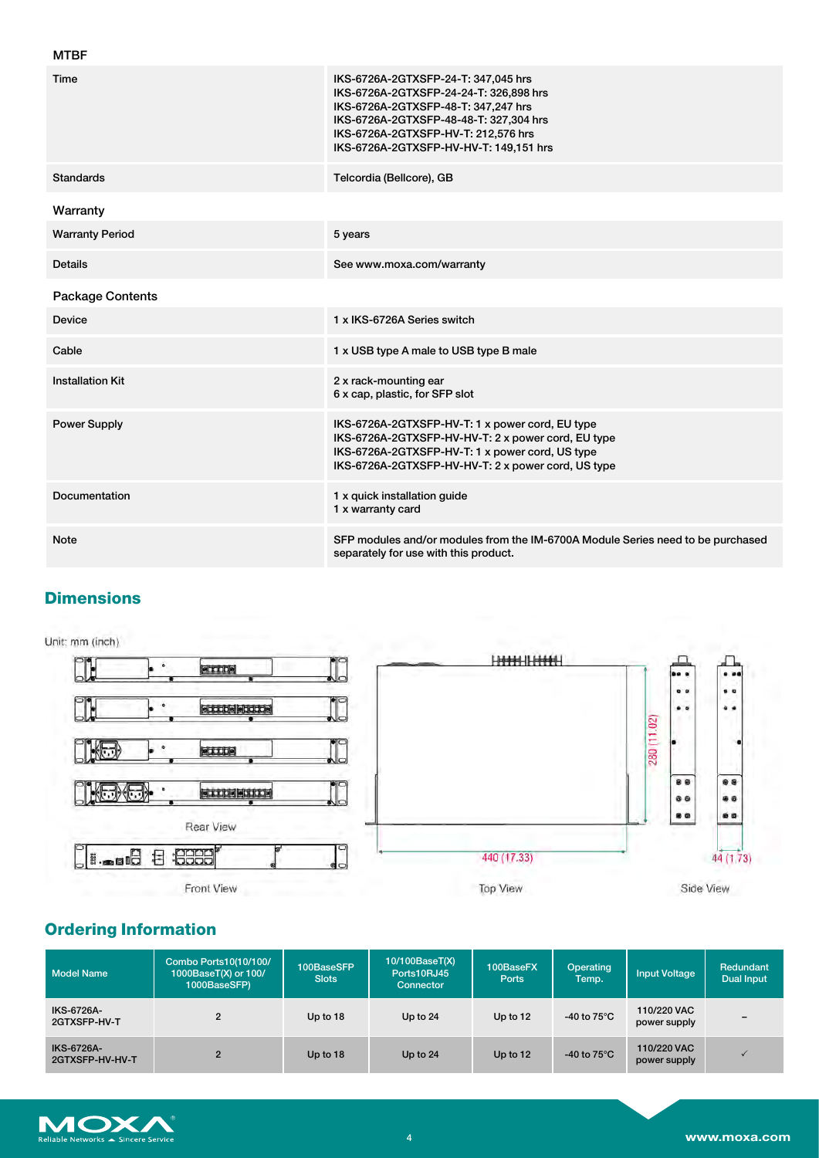| <b>MTBF</b>             |                                                                                                                                                                                                                                                 |
|-------------------------|-------------------------------------------------------------------------------------------------------------------------------------------------------------------------------------------------------------------------------------------------|
| Time                    | IKS-6726A-2GTXSFP-24-T: 347,045 hrs<br>IKS-6726A-2GTXSFP-24-24-T: 326,898 hrs<br>IKS-6726A-2GTXSFP-48-T: 347,247 hrs<br>IKS-6726A-2GTXSFP-48-48-T: 327,304 hrs<br>IKS-6726A-2GTXSFP-HV-T: 212,576 hrs<br>IKS-6726A-2GTXSFP-HV-HV-T: 149,151 hrs |
| <b>Standards</b>        | Telcordia (Bellcore), GB                                                                                                                                                                                                                        |
| Warranty                |                                                                                                                                                                                                                                                 |
| <b>Warranty Period</b>  | 5 years                                                                                                                                                                                                                                         |
| <b>Details</b>          | See www.moxa.com/warranty                                                                                                                                                                                                                       |
| <b>Package Contents</b> |                                                                                                                                                                                                                                                 |
| Device                  | 1 x IKS-6726A Series switch                                                                                                                                                                                                                     |
| Cable                   | 1 x USB type A male to USB type B male                                                                                                                                                                                                          |
| <b>Installation Kit</b> | 2 x rack-mounting ear<br>6 x cap, plastic, for SFP slot                                                                                                                                                                                         |
| <b>Power Supply</b>     | IKS-6726A-2GTXSFP-HV-T: 1 x power cord, EU type<br>IKS-6726A-2GTXSFP-HV-HV-T: 2 x power cord, EU type<br>IKS-6726A-2GTXSFP-HV-T: 1 x power cord, US type<br>IKS-6726A-2GTXSFP-HV-HV-T: 2 x power cord, US type                                  |
| Documentation           | 1 x quick installation guide<br>1 x warranty card                                                                                                                                                                                               |
| <b>Note</b>             | SFP modules and/or modules from the IM-6700A Module Series need to be purchased<br>separately for use with this product.                                                                                                                        |

# **Dimensions**

Unit: mm (inch)



# **Ordering Information**

| Model Name                           | Combo Ports10(10/100/<br>1000BaseT(X) or 100/<br>1000BaseSFP) | 100BaseSFP<br><b>Slots</b> | 10/100BaseT(X)<br>Ports10RJ45<br>Connector | 100BaseFX<br>Ports | Operating<br>Temp.             | <b>Input Voltage</b>        | <b>Redundant</b><br><b>Dual Input</b> |
|--------------------------------------|---------------------------------------------------------------|----------------------------|--------------------------------------------|--------------------|--------------------------------|-----------------------------|---------------------------------------|
| IKS-6726A-<br>2GTXSFP-HV-T           |                                                               | Up to 18                   | Up to 24                                   | Up to $12$         | -40 to $75^{\circ}$ C          | 110/220 VAC<br>power supply |                                       |
| <b>IKS-6726A-</b><br>2GTXSFP-HV-HV-T | $\overline{2}$                                                | Up to 18                   | Up to $24$                                 | Up to 12           | -40 to 75 $\mathrm{^{\circ}C}$ | 110/220 VAC<br>power supply |                                       |

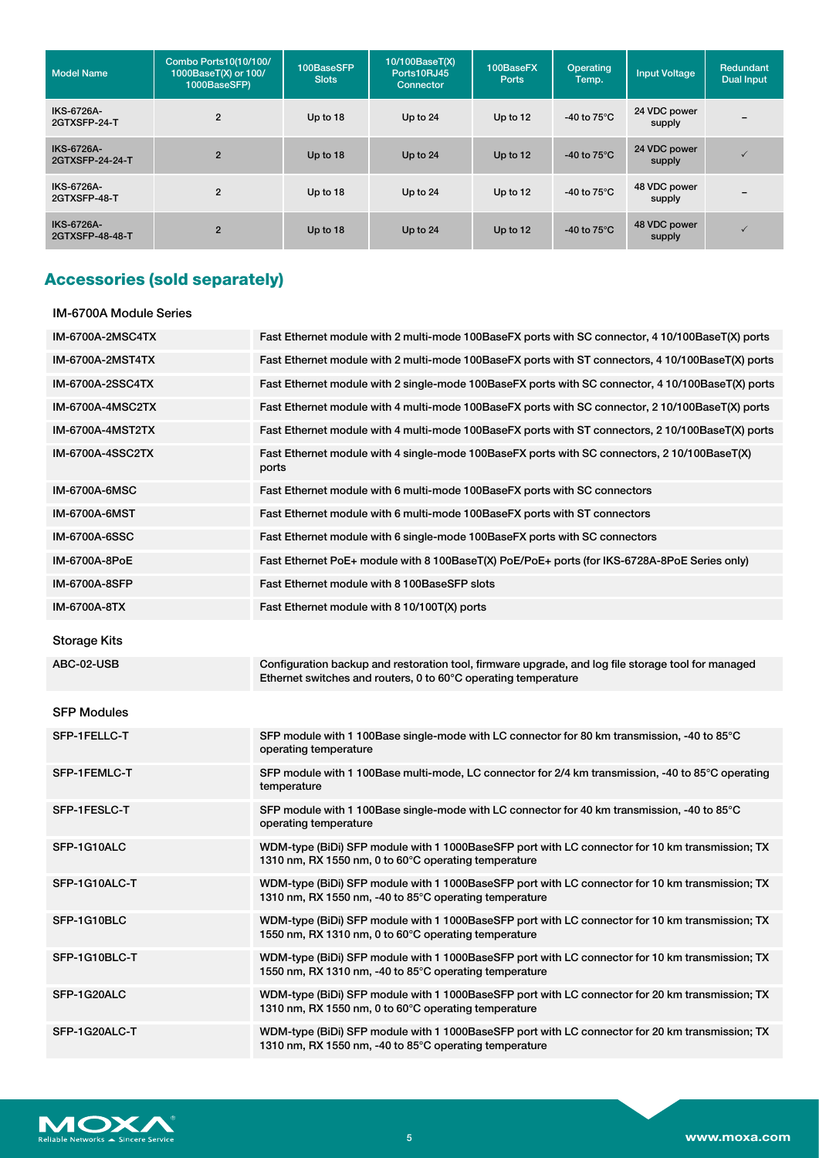| <b>Model Name</b>             | Combo Ports10(10/100/<br>1000BaseT(X) or 100/<br>1000BaseSFP) | 100BaseSFP<br><b>Slots</b> | 10/100BaseT(X)<br>Ports10RJ45<br>Connector | 100BaseFX<br><b>Ports</b> | Operating<br>Temp.    | <b>Input Voltage</b>   | Redundant<br><b>Dual Input</b> |
|-------------------------------|---------------------------------------------------------------|----------------------------|--------------------------------------------|---------------------------|-----------------------|------------------------|--------------------------------|
| IKS-6726A-<br>2GTXSFP-24-T    | $\overline{2}$                                                | Up to 18                   | Up to 24                                   | Up to 12                  | -40 to $75^{\circ}$ C | 24 VDC power<br>supply | $\overline{\phantom{0}}$       |
| IKS-6726A-<br>2GTXSFP-24-24-T | $\overline{2}$                                                | Up to 18                   | Up to 24                                   | Up to 12                  | -40 to $75^{\circ}$ C | 24 VDC power<br>supply | $\checkmark$                   |
| IKS-6726A-<br>2GTXSFP-48-T    | $\overline{2}$                                                | Up to 18                   | Up to 24                                   | Up to $12$                | -40 to $75^{\circ}$ C | 48 VDC power<br>supply |                                |
| IKS-6726A-<br>2GTXSFP-48-48-T | $\overline{2}$                                                | Up to 18                   | Up to 24                                   | Up to 12                  | -40 to $75^{\circ}$ C | 48 VDC power<br>supply | $\checkmark$                   |

# **Accessories (sold separately)**

#### IM-6700A Module Series

| <b>IM-6700A-2MSC4TX</b> | Fast Ethernet module with 2 multi-mode 100BaseFX ports with SC connector, 4 10/100BaseT(X) ports                                                                     |
|-------------------------|----------------------------------------------------------------------------------------------------------------------------------------------------------------------|
| IM-6700A-2MST4TX        | Fast Ethernet module with 2 multi-mode 100BaseFX ports with ST connectors, 4 10/100BaseT(X) ports                                                                    |
| IM-6700A-2SSC4TX        | Fast Ethernet module with 2 single-mode 100BaseFX ports with SC connector, 4 10/100BaseT(X) ports                                                                    |
| IM-6700A-4MSC2TX        | Fast Ethernet module with 4 multi-mode 100BaseFX ports with SC connector, 2 10/100BaseT(X) ports                                                                     |
| IM-6700A-4MST2TX        | Fast Ethernet module with 4 multi-mode 100BaseFX ports with ST connectors, 2 10/100BaseT(X) ports                                                                    |
| IM-6700A-4SSC2TX        | Fast Ethernet module with 4 single-mode 100BaseFX ports with SC connectors, 2 10/100BaseT(X)<br>ports                                                                |
| <b>IM-6700A-6MSC</b>    | Fast Ethernet module with 6 multi-mode 100 Base FX ports with SC connectors                                                                                          |
| <b>IM-6700A-6MST</b>    | Fast Ethernet module with 6 multi-mode 100BaseFX ports with ST connectors                                                                                            |
| IM-6700A-6SSC           | Fast Ethernet module with 6 single-mode 100BaseFX ports with SC connectors                                                                                           |
| IM-6700A-8PoE           | Fast Ethernet PoE+ module with 8 100BaseT(X) PoE/PoE+ ports (for IKS-6728A-8PoE Series only)                                                                         |
| IM-6700A-8SFP           | Fast Ethernet module with 8 100BaseSFP slots                                                                                                                         |
| IM-6700A-8TX            | Fast Ethernet module with 8 10/100T(X) ports                                                                                                                         |
| <b>Storage Kits</b>     |                                                                                                                                                                      |
| ABC-02-USB              | Configuration backup and restoration tool, firmware upgrade, and log file storage tool for managed<br>Ethernet switches and routers, 0 to 60°C operating temperature |
| SFP Modules             |                                                                                                                                                                      |
| SFP-1FELLC-T            | SFP module with 1 100Base single-mode with LC connector for 80 km transmission, -40 to 85°C                                                                          |
|                         | operating temperature                                                                                                                                                |
| SFP-1FEMLC-T            | SFP module with 1 100Base multi-mode, LC connector for 2/4 km transmission, -40 to 85°C operating<br>temperature                                                     |
| SFP-1FESLC-T            | SFP module with 1 100Base single-mode with LC connector for 40 km transmission, -40 to 85°C<br>operating temperature                                                 |
| SFP-1G10ALC             | WDM-type (BiDi) SFP module with 1 1000BaseSFP port with LC connector for 10 km transmission; TX<br>1310 nm, RX 1550 nm, 0 to 60°C operating temperature              |
| SFP-1G10ALC-T           | WDM-type (BiDi) SFP module with 1 1000BaseSFP port with LC connector for 10 km transmission; TX<br>1310 nm, RX 1550 nm, -40 to 85°C operating temperature            |
| SFP-1G10BLC             | WDM-type (BiDi) SFP module with 1 1000BaseSFP port with LC connector for 10 km transmission; TX<br>1550 nm, RX 1310 nm, 0 to 60°C operating temperature              |
| SFP-1G10BLC-T           | WDM-type (BiDi) SFP module with 1 1000BaseSFP port with LC connector for 10 km transmission; TX<br>1550 nm, RX 1310 nm, -40 to 85°C operating temperature            |
| SFP-1G20ALC             | WDM-type (BiDi) SFP module with 1 1000BaseSFP port with LC connector for 20 km transmission; TX<br>1310 nm, RX 1550 nm, 0 to 60°C operating temperature              |

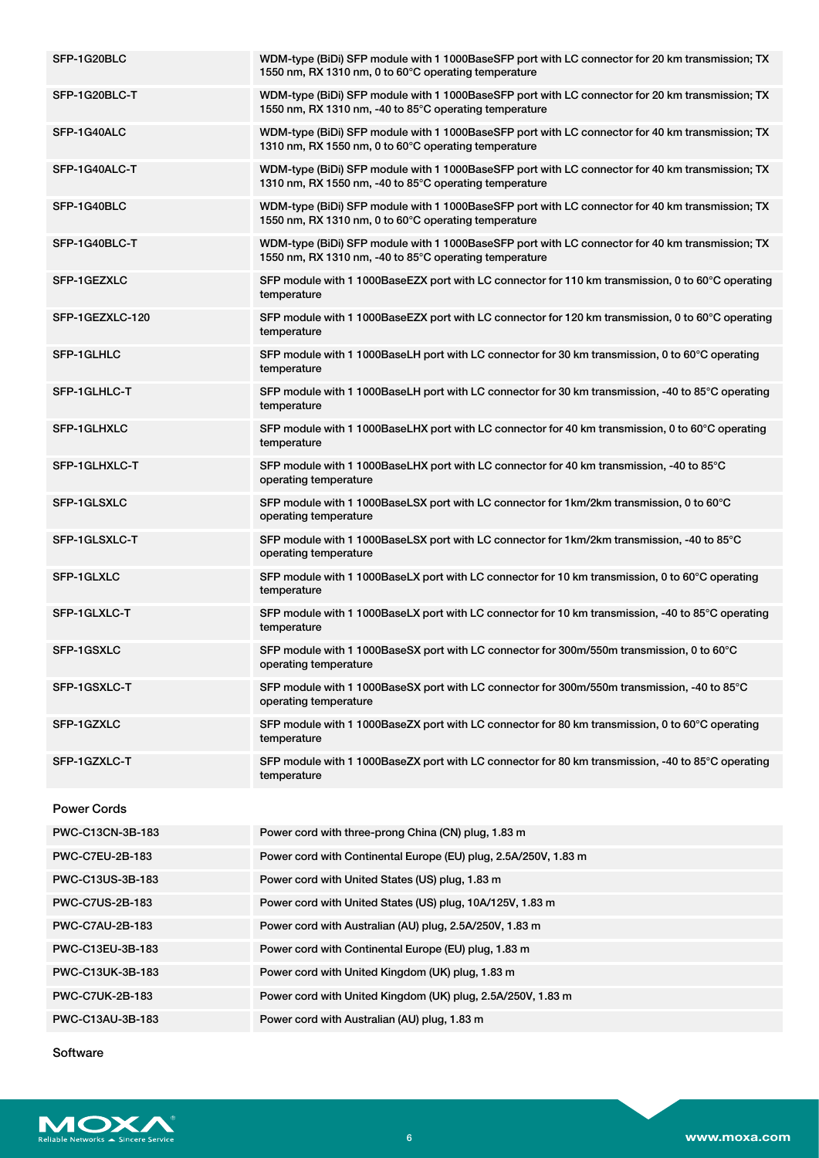| SFP-1G20BLC        | WDM-type (BiDi) SFP module with 1 1000BaseSFP port with LC connector for 20 km transmission; TX<br>1550 nm, RX 1310 nm, 0 to 60°C operating temperature   |
|--------------------|-----------------------------------------------------------------------------------------------------------------------------------------------------------|
| SFP-1G20BLC-T      | WDM-type (BiDi) SFP module with 1 1000BaseSFP port with LC connector for 20 km transmission; TX<br>1550 nm, RX 1310 nm, -40 to 85°C operating temperature |
| SFP-1G40ALC        | WDM-type (BiDi) SFP module with 1 1000BaseSFP port with LC connector for 40 km transmission; TX<br>1310 nm, RX 1550 nm, 0 to 60°C operating temperature   |
| SFP-1G40ALC-T      | WDM-type (BiDi) SFP module with 1 1000BaseSFP port with LC connector for 40 km transmission; TX<br>1310 nm, RX 1550 nm, -40 to 85°C operating temperature |
| SFP-1G40BLC        | WDM-type (BiDi) SFP module with 1 1000BaseSFP port with LC connector for 40 km transmission; TX<br>1550 nm, RX 1310 nm, 0 to 60°C operating temperature   |
| SFP-1G40BLC-T      | WDM-type (BiDi) SFP module with 1 1000BaseSFP port with LC connector for 40 km transmission; TX<br>1550 nm, RX 1310 nm, -40 to 85°C operating temperature |
| SFP-1GEZXLC        | SFP module with 1 1000BaseEZX port with LC connector for 110 km transmission, 0 to 60°C operating<br>temperature                                          |
| SFP-1GEZXLC-120    | SFP module with 1 1000BaseEZX port with LC connector for 120 km transmission, 0 to 60°C operating<br>temperature                                          |
| SFP-1GLHLC         | SFP module with 1 1000BaseLH port with LC connector for 30 km transmission, 0 to 60°C operating<br>temperature                                            |
| SFP-1GLHLC-T       | SFP module with 1 1000BaseLH port with LC connector for 30 km transmission, -40 to 85°C operating<br>temperature                                          |
| <b>SFP-1GLHXLC</b> | SFP module with 1 1000BaseLHX port with LC connector for 40 km transmission, 0 to 60°C operating<br>temperature                                           |
| SFP-1GLHXLC-T      | SFP module with 1 1000BaseLHX port with LC connector for 40 km transmission, -40 to 85°C<br>operating temperature                                         |
| SFP-1GLSXLC        | SFP module with 1 1000BaseLSX port with LC connector for 1km/2km transmission, 0 to 60°C<br>operating temperature                                         |
| SFP-1GLSXLC-T      | SFP module with 1 1000BaseLSX port with LC connector for 1km/2km transmission, -40 to 85°C<br>operating temperature                                       |
| SFP-1GLXLC         | SFP module with 1 1000BaseLX port with LC connector for 10 km transmission, 0 to 60°C operating<br>temperature                                            |
| SFP-1GLXLC-T       | SFP module with 1 1000BaseLX port with LC connector for 10 km transmission, -40 to 85°C operating<br>temperature                                          |
| SFP-1GSXLC         | SFP module with 1 1000BaseSX port with LC connector for 300m/550m transmission, 0 to 60°C<br>operating temperature                                        |
| SFP-1GSXLC-T       | SFP module with 1 1000BaseSX port with LC connector for 300m/550m transmission, -40 to 85°C<br>operating temperature                                      |
| SFP-1GZXLC         | SFP module with 1 1000BaseZX port with LC connector for 80 km transmission, 0 to 60°C operating<br>temperature                                            |
| SFP-1GZXLC-T       | SFP module with 1 1000BaseZX port with LC connector for 80 km transmission, -40 to 85°C operating<br>temperature                                          |
| <b>Power Cords</b> |                                                                                                                                                           |
| PWC-C13CN-3B-183   | Power cord with three-prong China (CN) plug, 1.83 m                                                                                                       |
| PWC-C7EU-2B-183    | Power cord with Continental Europe (EU) plug, 2.5A/250V, 1.83 m                                                                                           |
| PWC-C13US-3B-183   | Power cord with United States (US) plug, 1.83 m                                                                                                           |
| PWC-C7US-2B-183    | Power cord with United States (US) plug, 10A/125V, 1.83 m                                                                                                 |
| PWC-C7AU-2B-183    | Power cord with Australian (AU) plug, 2.5A/250V, 1.83 m                                                                                                   |

PWC-C7UK-2B-183 Power cord with United Kingdom (UK) plug, 2.5A/250V, 1.83 m

PWC-C13AU-3B-183 Power cord with Australian (AU) plug, 1.83 m

PWC-C13EU-3B-183 Power cord with Continental Europe (EU) plug, 1.83 m PWC-C13UK-3B-183 Power cord with United Kingdom (UK) plug, 1.83 m

Software